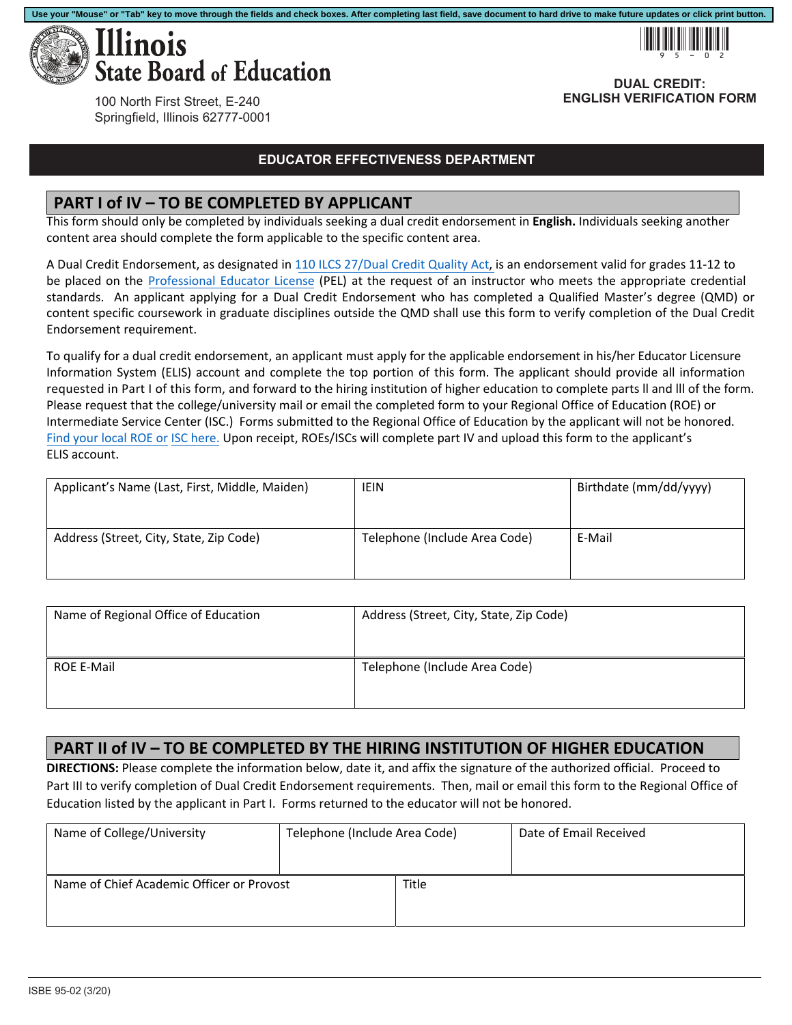



**DUAL CREDIT: ENGLISH VERIFICATION FORM**

100 North First Street, E-240 Springfield, Illinois 62777-0001

#### **EDUCATOR EFFECTIVENESS DEPARTMENT**

#### **PART I of IV – TO BE COMPLETED BY APPLICANT**

This form should only be completed by individuals seeking a dual credit endorsement in **English.** Individuals seeking another content area should complete the form applicable to the specific content area.

A Dual Credit Endorsement, as designated in 110 ILCS 27/Dual Credit Quality Act, is an endorsement valid for grades 11‐12 to be placed on the Professional Educator License (PEL) at the request of an instructor who meets the appropriate credential standards. An applicant applying for a Dual Credit Endorsement who has completed a Qualified Master's degree (QMD) or content specific coursework in graduate disciplines outside the QMD shall use this form to verify completion of the Dual Credit Endorsement requirement.

ELIS account. To qualify for a dual credit endorsement, an applicant must apply for the applicable endorsement in his/her Educator Licensure Information System (ELIS) account and complete the top portion of this form. The applicant should provide all information requested in Part I of this form, and forward to the hiring institution of higher education to complete parts ll and lll of the form. Please request that the college/university mail or email the completed form to your Regional Office of Education (ROE) or Intermediate Service Center (ISC.) Forms submitted to the Regional Office of Education by the applicant will not be honored. Find your local ROE or ISC here. Upon receipt, ROEs/ISCs will complete part IV and upload this form to the applicant's

| Applicant's Name (Last, First, Middle, Maiden) | <b>IEIN</b>                   | Birthdate (mm/dd/yyyy) |
|------------------------------------------------|-------------------------------|------------------------|
| Address (Street, City, State, Zip Code)        | Telephone (Include Area Code) | E-Mail                 |

| Name of Regional Office of Education | Address (Street, City, State, Zip Code) |
|--------------------------------------|-----------------------------------------|
| <b>ROE E-Mail</b>                    | Telephone (Include Area Code)           |

### **PART II of IV – TO BE COMPLETED BY THE HIRING INSTITUTION OF HIGHER EDUCATION**

**DIRECTIONS:** Please complete the information below, date it, and affix the signature of the authorized official. Proceed to Part III to verify completion of Dual Credit Endorsement requirements. Then, mail or email this form to the Regional Office of Education listed by the applicant in Part I. Forms returned to the educator will not be honored.

| Name of College/University                | Telephone (Include Area Code) |       | Date of Email Received |
|-------------------------------------------|-------------------------------|-------|------------------------|
|                                           |                               |       |                        |
| Name of Chief Academic Officer or Provost |                               | Title |                        |
|                                           |                               |       |                        |
|                                           |                               |       |                        |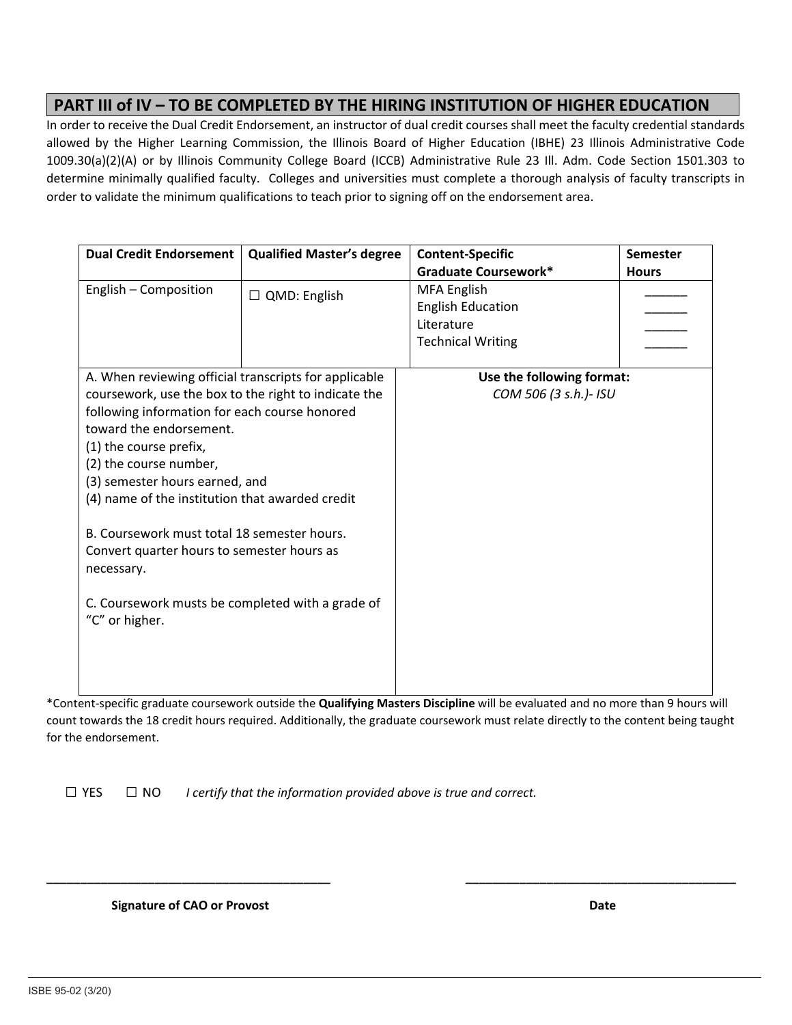## **PART III of IV – TO BE COMPLETED BY THE HIRING INSTITUTION OF HIGHER EDUCATION**

In order to receive the Dual Credit Endorsement, an instructor of dual credit courses shall meet the faculty credential standards allowed by the Higher Learning Commission, the Illinois Board of Higher Education (IBHE) 23 Illinois Administrative Code 1009.30(a)(2)(A) or by Illinois Community College Board (ICCB) Administrative Rule 23 Ill. Adm. Code Section 1501.303 to determine minimally qualified faculty. Colleges and universities must complete a thorough analysis of faculty transcripts in order to validate the minimum qualifications to teach prior to signing off on the endorsement area.

| <b>Dual Credit Endorsement</b>                                     | <b>Qualified Master's degree</b> | <b>Content-Specific</b>   | Semester     |
|--------------------------------------------------------------------|----------------------------------|---------------------------|--------------|
|                                                                    |                                  | Graduate Coursework*      | <b>Hours</b> |
| English - Composition                                              | $\Box$ QMD: English              | MFA English               |              |
|                                                                    |                                  | <b>English Education</b>  |              |
|                                                                    |                                  | Literature                |              |
|                                                                    |                                  | <b>Technical Writing</b>  |              |
|                                                                    |                                  |                           |              |
| A. When reviewing official transcripts for applicable              |                                  | Use the following format: |              |
| coursework, use the box to the right to indicate the               |                                  | COM 506 (3 s.h.)- ISU     |              |
| following information for each course honored                      |                                  |                           |              |
| toward the endorsement.                                            |                                  |                           |              |
| (1) the course prefix,                                             |                                  |                           |              |
| (2) the course number,                                             |                                  |                           |              |
| (3) semester hours earned, and                                     |                                  |                           |              |
| (4) name of the institution that awarded credit                    |                                  |                           |              |
| B. Coursework must total 18 semester hours.                        |                                  |                           |              |
| Convert quarter hours to semester hours as                         |                                  |                           |              |
| necessary.                                                         |                                  |                           |              |
| C. Coursework musts be completed with a grade of<br>"C" or higher. |                                  |                           |              |
|                                                                    |                                  |                           |              |

\*Content‐specific graduate coursework outside the **Qualifying Masters Discipline** will be evaluated and no more than 9 hours will count towards the 18 credit hours required. Additionally, the graduate coursework must relate directly to the content being taught for the endorsement.

**\_\_\_\_\_\_\_\_\_\_\_\_\_\_\_\_\_\_\_\_\_\_\_\_\_\_\_\_\_\_\_\_\_\_\_\_\_\_\_\_\_\_ \_\_\_\_\_\_\_\_\_\_\_\_\_\_\_\_\_\_\_\_\_\_\_\_\_\_\_\_\_\_\_\_\_\_\_\_\_\_\_\_** 

*I certify that the information provided above is true and correct.*   $\square$  YES  $\square$  NO

 **Signature of CAO or Provost Date <b>***Date Date Date Date*